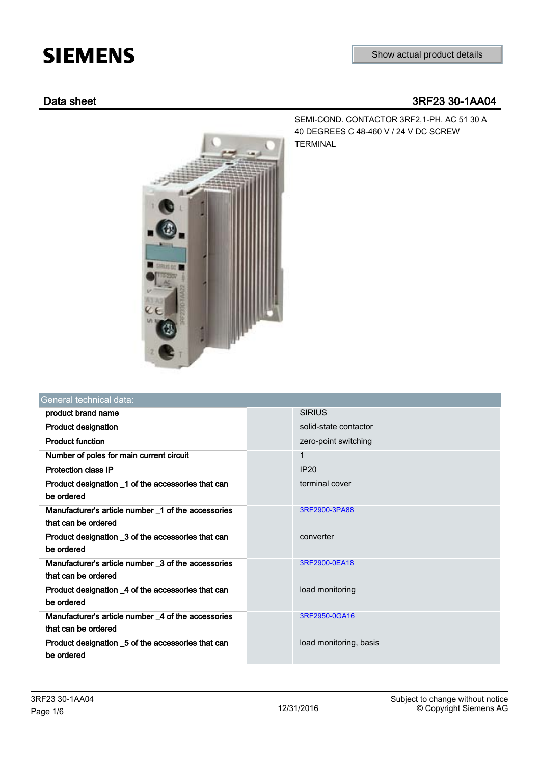# **SIEMENS**

# Data sheet 3RF23 30-1AA04



SEMI-COND. CONTACTOR 3RF2,1-PH. AC 51 30 A 40 DEGREES C 48-460 V / 24 V DC SCREW TERMINAL

| General technical data:                                                    |                        |
|----------------------------------------------------------------------------|------------------------|
| product brand name                                                         | <b>SIRIUS</b>          |
| <b>Product designation</b>                                                 | solid-state contactor  |
| <b>Product function</b>                                                    | zero-point switching   |
| Number of poles for main current circuit                                   | 1                      |
| <b>Protection class IP</b>                                                 | IP20                   |
| Product designation _1 of the accessories that can<br>be ordered           | terminal cover         |
| Manufacturer's article number 1 of the accessories<br>that can be ordered  | 3RF2900-3PA88          |
| Product designation _3 of the accessories that can<br>be ordered           | converter              |
| Manufacturer's article number _3 of the accessories<br>that can be ordered | 3RF2900-0EA18          |
| Product designation _4 of the accessories that can<br>be ordered           | load monitoring        |
| Manufacturer's article number _4 of the accessories<br>that can be ordered | 3RF2950-0GA16          |
| Product designation _5 of the accessories that can<br>be ordered           | load monitoring, basis |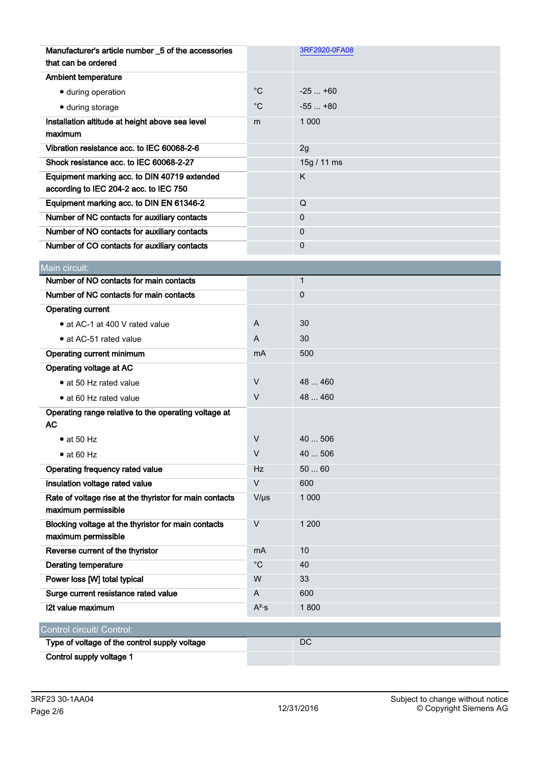| Manufacturer's article number _5 of the accessories                                    |             | 3RF2920-0FA08 |
|----------------------------------------------------------------------------------------|-------------|---------------|
| that can be ordered                                                                    |             |               |
| <b>Ambient temperature</b>                                                             |             |               |
| · during operation                                                                     | $^{\circ}C$ | $-25+60$      |
| • during storage                                                                       | $^{\circ}C$ | $-55+80$      |
| Installation altitude at height above sea level                                        | m           | 1 0 0 0       |
| maximum                                                                                |             |               |
| Vibration resistance acc. to IEC 60068-2-6                                             |             | 2g            |
| Shock resistance acc. to IEC 60068-2-27                                                |             | 15g / 11 ms   |
| Equipment marking acc. to DIN 40719 extended<br>according to IEC 204-2 acc. to IEC 750 |             | K             |
| Equipment marking acc. to DIN EN 61346-2                                               |             | Q             |
| Number of NC contacts for auxiliary contacts                                           |             | $\Omega$      |
| Number of NO contacts for auxiliary contacts                                           |             | 0             |
| Number of CO contacts for auxiliary contacts                                           |             | $\mathbf 0$   |
|                                                                                        |             |               |
| Main circuit:                                                                          |             |               |
| Number of NO contacts for main contacts                                                |             | $\mathbf{1}$  |
| Number of NC contacts for main contacts                                                |             | 0             |
| <b>Operating current</b>                                                               |             |               |
| • at AC-1 at 400 V rated value                                                         | A           | 30            |
| • at AC-51 rated value                                                                 | A           | 30            |
| Operating current minimum                                                              | mA          | 500           |
| Operating voltage at AC                                                                |             |               |
| • at 50 Hz rated value                                                                 | $\vee$      | 48  460       |
| • at 60 Hz rated value                                                                 | $\vee$      | 48  460       |
| Operating range relative to the operating voltage at                                   |             |               |
| AC                                                                                     |             |               |
| $\bullet$ at 50 Hz                                                                     | V           | 40  506       |
| $\bullet$ at 60 Hz                                                                     | V           | 40  506       |
| Operating frequency rated value                                                        | Hz          | 5060          |
| Insulation voltage rated value                                                         | $\vee$      | 600           |
| Rate of voltage rise at the thyristor for main contacts<br>maximum permissible         | $V/\mu s$   | 1 0 0 0       |
| Blocking voltage at the thyristor for main contacts<br>maximum permissible             | $\vee$      | 1 200         |
| Reverse current of the thyristor                                                       | mA          | 10            |
| <b>Derating temperature</b>                                                            | $^{\circ}C$ | 40            |
| Power loss [W] total typical                                                           | W           | 33            |
| Surge current resistance rated value                                                   | A           | 600           |
| 12t value maximum                                                                      | $A^2$ ·s    | 1800          |
| Control circuit/ Control:                                                              |             |               |
| Type of voltage of the control supply voltage                                          |             | DC            |
| Control supply voltage 1                                                               |             |               |
|                                                                                        |             |               |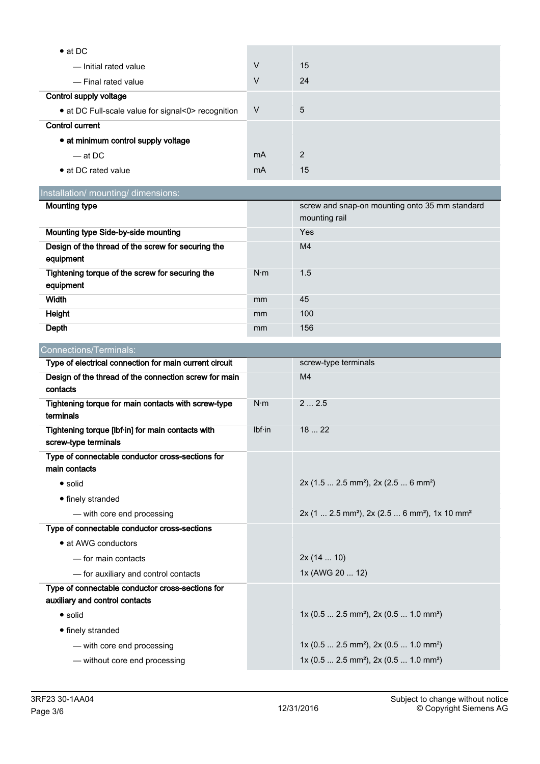| $\bullet$ at DC                                    |        |    |
|----------------------------------------------------|--------|----|
| - Initial rated value                              | $\vee$ | 15 |
| - Final rated value                                | $\vee$ | 24 |
| Control supply voltage                             |        |    |
| • at DC Full-scale value for signal<0> recognition | $\vee$ | 5  |
| <b>Control current</b>                             |        |    |
| • at minimum control supply voltage                |        |    |
| $-$ at DC                                          | mA     | 2  |
| • at DC rated value                                | mA     | 15 |

Installation/ mounting/ dimensions:

| Mounting type                                                   |               | screw and snap-on mounting onto 35 mm standard<br>mounting rail |
|-----------------------------------------------------------------|---------------|-----------------------------------------------------------------|
| Mounting type Side-by-side mounting                             |               | Yes                                                             |
| Design of the thread of the screw for securing the<br>equipment |               | M4                                                              |
| Tightening torque of the screw for securing the<br>equipment    | $N \cdot m$   | 1.5                                                             |
| Width                                                           | mm            | 45                                                              |
| Height                                                          | <sub>mm</sub> | 100                                                             |
| Depth                                                           | mm            | 156                                                             |

| Connections/Terminals:                                                             |             |                                                                                   |
|------------------------------------------------------------------------------------|-------------|-----------------------------------------------------------------------------------|
| Type of electrical connection for main current circuit                             |             | screw-type terminals                                                              |
| Design of the thread of the connection screw for main<br>contacts                  |             | M <sub>4</sub>                                                                    |
| Tightening torque for main contacts with screw-type<br>terminals                   | $N \cdot m$ | 22.5                                                                              |
| Tightening torque [lbf·in] for main contacts with<br>screw-type terminals          | Ibf·in      | 1822                                                                              |
| Type of connectable conductor cross-sections for<br>main contacts                  |             |                                                                                   |
| $\bullet$ solid                                                                    |             | $2x$ (1.5  2.5 mm <sup>2</sup> ), $2x$ (2.5  6 mm <sup>2</sup> )                  |
| • finely stranded                                                                  |             |                                                                                   |
| - with core end processing                                                         |             | 2x (1  2.5 mm <sup>2</sup> ), 2x (2.5  6 mm <sup>2</sup> ), 1x 10 mm <sup>2</sup> |
| Type of connectable conductor cross-sections                                       |             |                                                                                   |
| • at AWG conductors                                                                |             |                                                                                   |
| - for main contacts                                                                |             | 2x(1410)                                                                          |
| - for auxiliary and control contacts                                               |             | 1x (AWG 20  12)                                                                   |
| Type of connectable conductor cross-sections for<br>auxiliary and control contacts |             |                                                                                   |
| $\bullet$ solid                                                                    |             | $1x (0.5  2.5 mm2)$ , 2x (0.5  1.0 mm <sup>2</sup> )                              |
| • finely stranded                                                                  |             |                                                                                   |
| - with core end processing                                                         |             | $1x (0.5  2.5 mm2)$ , $2x (0.5  1.0 mm2)$                                         |
| - without core end processing                                                      |             | $1x (0.5  2.5 mm2)$ , $2x (0.5  1.0 mm2)$                                         |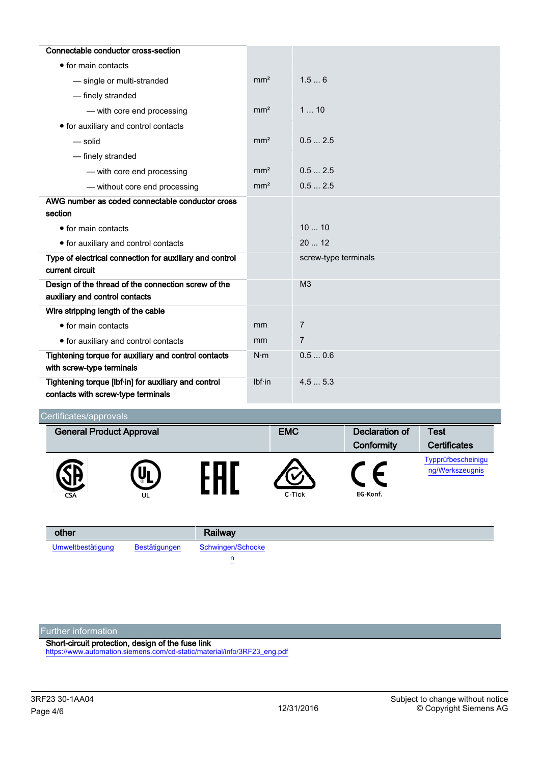| Connectable conductor cross-section                     |                 |                      |
|---------------------------------------------------------|-----------------|----------------------|
| • for main contacts                                     |                 |                      |
| - single or multi-stranded                              | mm <sup>2</sup> | 1.56                 |
| - finely stranded                                       |                 |                      |
| - with core end processing                              | mm <sup>2</sup> | 110                  |
| • for auxiliary and control contacts                    |                 |                      |
| — solid                                                 | mm <sup>2</sup> | 0.52.5               |
| - finely stranded                                       |                 |                      |
| - with core end processing                              | mm <sup>2</sup> | 0.52.5               |
| - without core end processing                           | mm <sup>2</sup> | 0.52.5               |
| AWG number as coded connectable conductor cross         |                 |                      |
| section                                                 |                 |                      |
| $\bullet$ for main contacts                             |                 | 1010                 |
| • for auxiliary and control contacts                    |                 | 2012                 |
| Type of electrical connection for auxiliary and control |                 | screw-type terminals |
| current circuit                                         |                 |                      |
| Design of the thread of the connection screw of the     |                 | M <sub>3</sub>       |
| auxiliary and control contacts                          |                 |                      |
| Wire stripping length of the cable                      |                 |                      |
| • for main contacts                                     | mm              | $\overline{7}$       |
| • for auxiliary and control contacts                    | mm              | $\overline{7}$       |
| Tightening torque for auxiliary and control contacts    | $N \cdot m$     | 0.50.6               |
| with screw-type terminals                               |                 |                      |
| Tightening torque [lbf-in] for auxiliary and control    | Ibf·in          | 4.55.3               |
| contacts with screw-type terminals                      |                 |                      |

# Certificates/approvals

| <u>s or throatoo, applie tals</u> |          |            |                |                                       |
|-----------------------------------|----------|------------|----------------|---------------------------------------|
| <b>General Product Approval</b>   |          | <b>EMC</b> | Declaration of | <b>Test</b>                           |
|                                   |          |            | Conformity     | <b>Certificates</b>                   |
| <b>CSA</b>                        | Uı<br>UL | C-Tick     | EG-Konf.       | Typprüfbescheinigu<br>ng/Werkszeugnis |

| other             |               | Railway           |
|-------------------|---------------|-------------------|
| Umweltbestätigung | Bestätigungen | Schwingen/Schocke |
|                   |               | -                 |

Further information

Short-circuit protection, design of the fuse link

[https://www.automation.siemens.com/cd-static/material/info/3RF23\\_eng.pdf](https://www.automation.siemens.com/cd-static/material/info/3RF23_eng.pdf)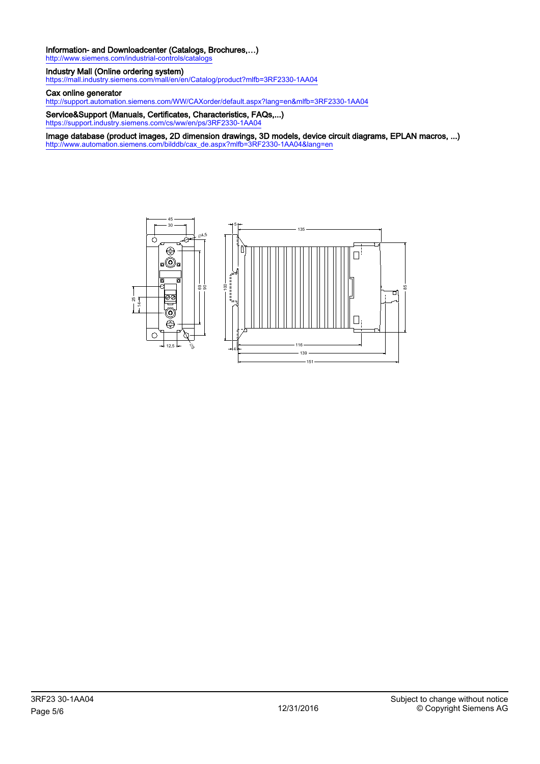## Information- and Downloadcenter (Catalogs, Brochures,…)

http://www.siemens.com/industrial-controls/catal

### Industry Mall (Online ordering system)

<https://mall.industry.siemens.com/mall/en/en/Catalog/product?mlfb=3RF2330-1AA04>

### Cax online generator

<http://support.automation.siemens.com/WW/CAXorder/default.aspx?lang=en&mlfb=3RF2330-1AA04>

Service&Support (Manuals, Certificates, Characteristics, FAQs,...) <https://support.industry.siemens.com/cs/ww/en/ps/3RF2330-1AA04>

Image database (product images, 2D dimension drawings, 3D models, device circuit diagrams, EPLAN macros, ...) [http://www.automation.siemens.com/bilddb/cax\\_de.aspx?mlfb=3RF2330-1AA04&lang=en](http://www.automation.siemens.com/bilddb/cax_de.aspx?mlfb=3RF2330-1AA04&lang=en)



85

 $\Box$ 

 $\mathsf{I}$